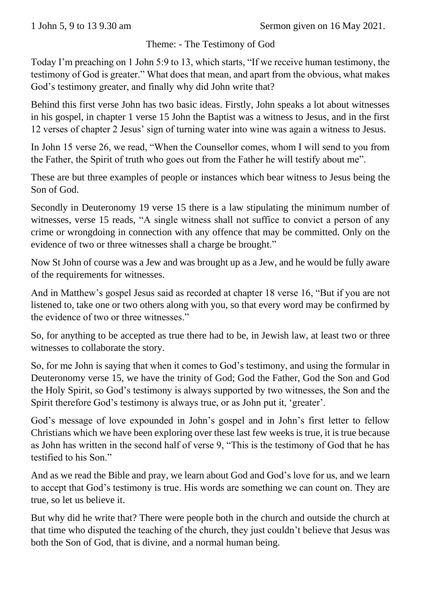## Theme: - The Testimony of God

Today I'm preaching on 1 John 5:9 to 13, which starts, "If we receive human testimony, the testimony of God is greater." What does that mean, and apart from the obvious, what makes God's testimony greater, and finally why did John write that?

Behind this first verse John has two basic ideas. Firstly, John speaks a lot about witnesses in his gospel, in chapter 1 verse 15 John the Baptist was a witness to Jesus, and in the first 12 verses of chapter 2 Jesus' sign of turning water into wine was again a witness to Jesus.

In John 15 verse 26, we read, "When the Counsellor comes, whom I will send to you from the Father, the Spirit of truth who goes out from the Father he will testify about me".

These are but three examples of people or instances which bear witness to Jesus being the Son of God.

Secondly in Deuteronomy 19 verse 15 there is a law stipulating the minimum number of witnesses, verse 15 reads, "A single witness shall not suffice to convict a person of any crime or wrongdoing in connection with any offence that may be committed. Only on the evidence of two or three witnesses shall a charge be brought."

Now St John of course was a Jew and was brought up as a Jew, and he would be fully aware of the requirements for witnesses.

And in Matthew's gospel Jesus said as recorded at chapter 18 verse 16, "But if you are not listened to, take one or two others along with you, so that every word may be confirmed by the evidence of two or three witnesses."

So, for anything to be accepted as true there had to be, in Jewish law, at least two or three witnesses to collaborate the story.

So, for me John is saying that when it comes to God's testimony, and using the formular in Deuteronomy verse 15, we have the trinity of God; God the Father, God the Son and God the Holy Spirit, so God's testimony is always supported by two witnesses, the Son and the Spirit therefore God's testimony is always true, or as John put it, 'greater'.

God's message of love expounded in John's gospel and in John's first letter to fellow Christians which we have been exploring over these last few weeks is true, it is true because as John has written in the second half of verse 9, "This is the testimony of God that he has testified to his Son."

And as we read the Bible and pray, we learn about God and God's love for us, and we learn to accept that God's testimony is true. His words are something we can count on. They are true, so let us believe it.

But why did he write that? There were people both in the church and outside the church at that time who disputed the teaching of the church, they just couldn't believe that Jesus was both the Son of God, that is divine, and a normal human being.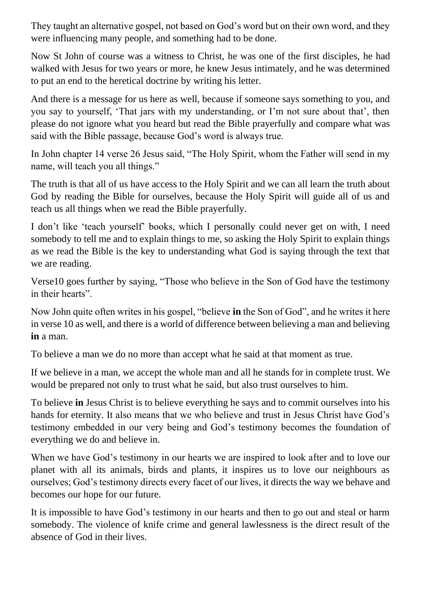They taught an alternative gospel, not based on God's word but on their own word, and they were influencing many people, and something had to be done.

Now St John of course was a witness to Christ, he was one of the first disciples, he had walked with Jesus for two years or more, he knew Jesus intimately, and he was determined to put an end to the heretical doctrine by writing his letter.

And there is a message for us here as well, because if someone says something to you, and you say to yourself, 'That jars with my understanding, or I'm not sure about that', then please do not ignore what you heard but read the Bible prayerfully and compare what was said with the Bible passage, because God's word is always true.

In John chapter 14 verse 26 Jesus said, "The Holy Spirit, whom the Father will send in my name, will teach you all things."

The truth is that all of us have access to the Holy Spirit and we can all learn the truth about God by reading the Bible for ourselves, because the Holy Spirit will guide all of us and teach us all things when we read the Bible prayerfully.

I don't like 'teach yourself' books, which I personally could never get on with, I need somebody to tell me and to explain things to me, so asking the Holy Spirit to explain things as we read the Bible is the key to understanding what God is saying through the text that we are reading.

Verse10 goes further by saying, "Those who believe in the Son of God have the testimony in their hearts".

Now John quite often writes in his gospel, "believe **in** the Son of God", and he writes it here in verse 10 as well, and there is a world of difference between believing a man and believing **in** a man.

To believe a man we do no more than accept what he said at that moment as true.

If we believe in a man, we accept the whole man and all he stands for in complete trust. We would be prepared not only to trust what he said, but also trust ourselves to him.

To believe **in** Jesus Christ is to believe everything he says and to commit ourselves into his hands for eternity. It also means that we who believe and trust in Jesus Christ have God's testimony embedded in our very being and God's testimony becomes the foundation of everything we do and believe in.

When we have God's testimony in our hearts we are inspired to look after and to love our planet with all its animals, birds and plants, it inspires us to love our neighbours as ourselves; God's testimony directs every facet of our lives, it directs the way we behave and becomes our hope for our future.

It is impossible to have God's testimony in our hearts and then to go out and steal or harm somebody. The violence of knife crime and general lawlessness is the direct result of the absence of God in their lives.